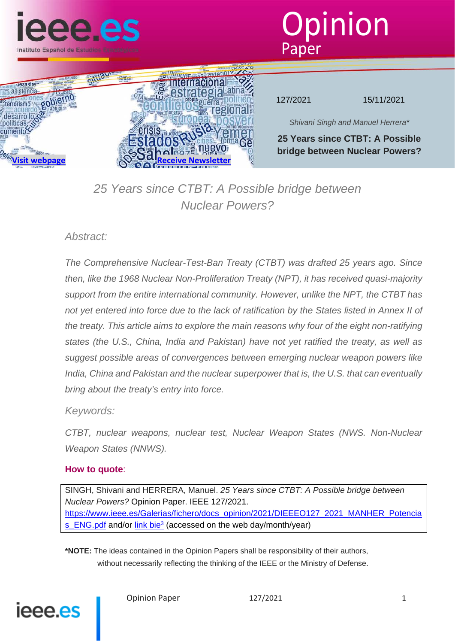





127/2021 15/11/2021

*Shivani Singh and Manuel Herrera\**

**25 Years since CTBT: A Possible bridge between Nuclear Powers?**

# *25 Years since CTBT: A Possible bridge between Nuclear Powers?*

## *Abstract:*

*The Comprehensive Nuclear-Test-Ban Treaty (CTBT) was drafted 25 years ago. Since then, like the 1968 Nuclear Non-Proliferation Treaty (NPT), it has received quasi-majority support from the entire international community. However, unlike the NPT, the CTBT has not yet entered into force due to the lack of ratification by the States listed in Annex II of the treaty. This article aims to explore the main reasons why four of the eight non-ratifying states (the U.S., China, India and Pakistan) have not yet ratified the treaty, as well as suggest possible areas of convergences between emerging nuclear weapon powers like India, China and Pakistan and the nuclear superpower that is, the U.S. that can eventually bring about the treaty's entry into force.*

## *Keywords:*

*CTBT, nuclear weapons, nuclear test, Nuclear Weapon States (NWS. Non-Nuclear Weapon States (NNWS).* 

#### **How to quote**:

SINGH, Shivani and HERRERA, Manuel. *25 Years since CTBT: A Possible bridge between Nuclear Powers?* Opinion Paper. IEEE 127/2021. https://www.ieee.es/Galerias/fichero/docs\_opinion/2021/DIEEEO127\_2021\_MANHER\_Potencia s ENG.pdf and/or link bie<sup>3</sup> (accessed on the web day/month/year)

**\*NOTE:** The ideas contained in the Opinion Papers shall be responsibility of their authors, without necessarily reflecting the thinking of the IEEE or the Ministry of Defense.

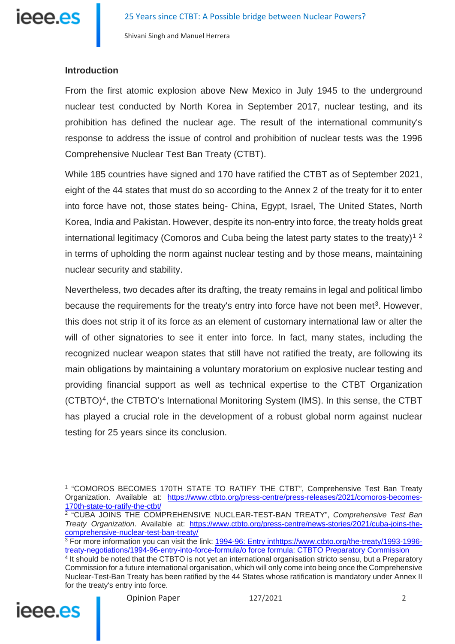

#### **Introduction**

From the first atomic explosion above New Mexico in July 1945 to the underground nuclear test conducted by North Korea in September 2017, nuclear testing, and its prohibition has defined the nuclear age. The result of the international community's response to address the issue of control and prohibition of nuclear tests was the 1996 Comprehensive Nuclear Test Ban Treaty (CTBT).

While 185 countries have signed and 170 have ratified the CTBT as of September 2021, eight of the 44 states that must do so according to the Annex 2 of the treaty for it to enter into force have not, those states being- China, Egypt, Israel, The United States, North Korea, India and Pakistan. However, despite its non-entry into force, the treaty holds great international legitimacy (Comoros and Cuba being the latest party states to the treaty)<sup>[1](#page-1-0)[2](#page-1-1)</sup> in terms of upholding the norm against nuclear testing and by those means, maintaining nuclear security and stability.

Nevertheless, two decades after its drafting, the treaty remains in legal and political limbo because the requirements for the treaty's entry into force have not been met<sup>[3](#page-1-2)</sup>. However, this does not strip it of its force as an element of customary international law or alter the will of other signatories to see it enter into force. In fact, many states, including the recognized nuclear weapon states that still have not ratified the treaty, are following its main obligations by maintaining a voluntary moratorium on explosive nuclear testing and providing financial support as well as technical expertise to the CTBT Organization (CTBTO)[4,](#page-1-3) the CTBTO's International Monitoring System (IMS). In this sense, the CTBT has played a crucial role in the development of a robust global norm against nuclear testing for 25 years since its conclusion.

<span id="page-1-3"></span><span id="page-1-2"></span><span id="page-1-1"></span><sup>&</sup>lt;sup>4</sup> It should be noted that the CTBTO is not yet an international organisation stricto sensu, but a Preparatory Commission for a future international organisation, which will only come into being once the Comprehensive Nuclear-Test-Ban Treaty has been ratified by the 44 States whose ratification is mandatory under Annex II for the treaty's entry into force.



<span id="page-1-0"></span><sup>1</sup> "COMOROS BECOMES 170TH STATE TO RATIFY THE CTBT", Comprehensive Test Ban Treaty Organization. Available at: [https://www.ctbto.org/press-centre/press-releases/2021/comoros-becomes-](https://www.ctbto.org/press-centre/press-releases/2021/comoros-becomes-170th-state-to-ratify-the-ctbt/)[170th-state-to-ratify-the-ctbt/](https://www.ctbto.org/press-centre/press-releases/2021/comoros-becomes-170th-state-to-ratify-the-ctbt/)

<sup>2</sup> "CUBA JOINS THE COMPREHENSIVE NUCLEAR-TEST-BAN TREATY", *Comprehensive Test Ban Treaty Organization*. Available at: [https://www.ctbto.org/press-centre/news-stories/2021/cuba-joins-the](https://www.ctbto.org/press-centre/news-stories/2021/cuba-joins-the-comprehensive-nuclear-test-ban-treaty/)[comprehensive-nuclear-test-ban-treaty/](https://www.ctbto.org/press-centre/news-stories/2021/cuba-joins-the-comprehensive-nuclear-test-ban-treaty/)

<sup>&</sup>lt;sup>3</sup> For more information you can visit the link: [1994-96: Entry inthttps://www.ctbto.org/the-treaty/1993-1996](https://www.ctbto.org/the-treaty/1993-1996-treaty-negotiations/1994-96-entry-into-force-formula/) [treaty-negotiations/1994-96-entry-into-force-formula/o force formula: CTBTO Preparatory Commission](https://www.ctbto.org/the-treaty/1993-1996-treaty-negotiations/1994-96-entry-into-force-formula/)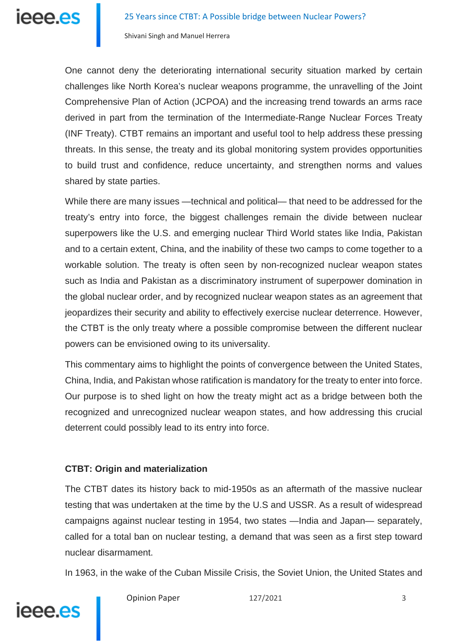

One cannot deny the deteriorating international security situation marked by certain challenges like North Korea's nuclear weapons programme, the unravelling of the Joint Comprehensive Plan of Action (JCPOA) and the increasing trend towards an arms race derived in part from the termination of the Intermediate-Range Nuclear Forces Treaty (INF Treaty). CTBT remains an important and useful tool to help address these pressing threats. In this sense, the treaty and its global monitoring system provides opportunities to build trust and confidence, reduce uncertainty, and strengthen norms and values shared by state parties.

While there are many issues —technical and political— that need to be addressed for the treaty's entry into force, the biggest challenges remain the divide between nuclear superpowers like the U.S. and emerging nuclear Third World states like India, Pakistan and to a certain extent, China, and the inability of these two camps to come together to a workable solution. The treaty is often seen by non-recognized nuclear weapon states such as India and Pakistan as a discriminatory instrument of superpower domination in the global nuclear order, and by recognized nuclear weapon states as an agreement that jeopardizes their security and ability to effectively exercise nuclear deterrence. However, the CTBT is the only treaty where a possible compromise between the different nuclear powers can be envisioned owing to its universality.

This commentary aims to highlight the points of convergence between the United States, China, India, and Pakistan whose ratification is mandatory for the treaty to enter into force. Our purpose is to shed light on how the treaty might act as a bridge between both the recognized and unrecognized nuclear weapon states, and how addressing this crucial deterrent could possibly lead to its entry into force.

## **CTBT: Origin and materialization**

The CTBT dates its history back to mid-1950s as an aftermath of the massive nuclear testing that was undertaken at the time by the U.S and USSR. As a result of widespread campaigns against nuclear testing in 1954, two states —India and Japan— separately, called for a total ban on nuclear testing, a demand that was seen as a first step toward nuclear disarmament.

In 1963, in the wake of the Cuban Missile Crisis, the Soviet Union, the United States and



Opinion Paper 127/2021 3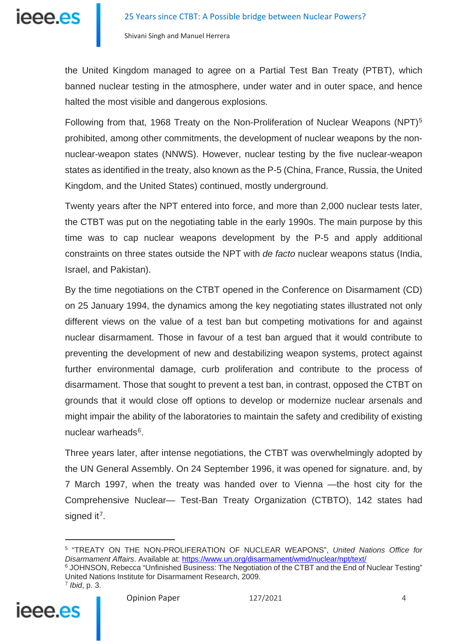

the United Kingdom managed to agree on a Partial Test Ban Treaty (PTBT), which banned nuclear testing in the atmosphere, under water and in outer space, and hence halted the most visible and dangerous explosions.

Following from that, 1968 Treaty on the Non-Proliferation of Nuclear Weapons (NPT)<sup>[5](#page-3-0)</sup> prohibited, among other commitments, the development of nuclear weapons by the nonnuclear-weapon states (NNWS). However, nuclear testing by the five nuclear-weapon states as identified in the treaty, also known as the P-5 (China, France, Russia, the United Kingdom, and the United States) continued, mostly underground.

Twenty years after the NPT entered into force, and more than 2,000 nuclear tests later, the CTBT was put on the negotiating table in the early 1990s. The main purpose by this time was to cap nuclear weapons development by the P-5 and apply additional constraints on three states outside the NPT with *de facto* nuclear weapons status (India, Israel, and Pakistan).

By the time negotiations on the CTBT opened in the Conference on Disarmament (CD) on 25 January 1994, the dynamics among the key negotiating states illustrated not only different views on the value of a test ban but competing motivations for and against nuclear disarmament. Those in favour of a test ban argued that it would contribute to preventing the development of new and destabilizing weapon systems, protect against further environmental damage, curb proliferation and contribute to the process of disarmament. Those that sought to prevent a test ban, in contrast, opposed the CTBT on grounds that it would close off options to develop or modernize nuclear arsenals and might impair the ability of the laboratories to maintain the safety and credibility of existing nuclear warheads<sup>6</sup>.

Three years later, after intense negotiations, the CTBT was overwhelmingly adopted by the UN General Assembly. On 24 September 1996, it was opened for signature. and, by 7 March 1997, when the treaty was handed over to Vienna —the host city for the Comprehensive Nuclear— Test-Ban Treaty Organization (CTBTO), 142 states had signed it<sup>7</sup>.

<sup>6</sup> JOHNSON, Rebecca "Unfinished Business: The Negotiation of the CTBT and the End of Nuclear Testing" United Nations Institute for Disarmament Research, 2009.



<span id="page-3-2"></span><span id="page-3-1"></span><span id="page-3-0"></span>

<sup>5</sup> "TREATY ON THE NON-PROLIFERATION OF NUCLEAR WEAPONS", *United Nations Office for Disarmament Affairs*. Available at: <https://www.un.org/disarmament/wmd/nuclear/npt/text/>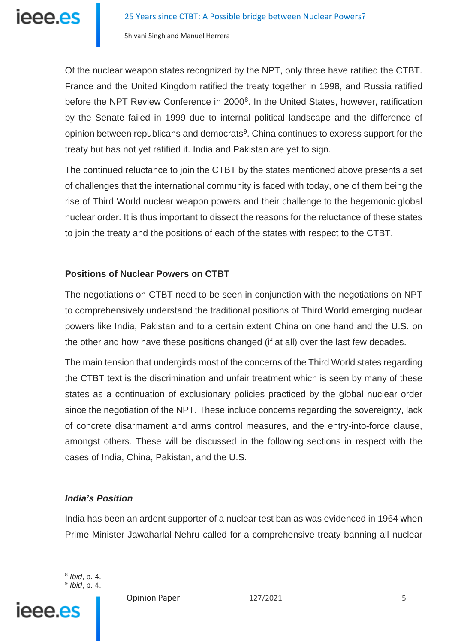

Of the nuclear weapon states recognized by the NPT, only three have ratified the CTBT. France and the United Kingdom ratified the treaty together in 1998, and Russia ratified before the NPT Review Conference in 2000<sup>8</sup>. In the United States, however, ratification by the Senate failed in 1999 due to internal political landscape and the difference of opinion between republicans and democrats<sup>[9](#page-4-1)</sup>. China continues to express support for the treaty but has not yet ratified it. India and Pakistan are yet to sign.

The continued reluctance to join the CTBT by the states mentioned above presents a set of challenges that the international community is faced with today, one of them being the rise of Third World nuclear weapon powers and their challenge to the hegemonic global nuclear order. It is thus important to dissect the reasons for the reluctance of these states to join the treaty and the positions of each of the states with respect to the CTBT.

#### **Positions of Nuclear Powers on CTBT**

The negotiations on CTBT need to be seen in conjunction with the negotiations on NPT to comprehensively understand the traditional positions of Third World emerging nuclear powers like India, Pakistan and to a certain extent China on one hand and the U.S. on the other and how have these positions changed (if at all) over the last few decades.

The main tension that undergirds most of the concerns of the Third World states regarding the CTBT text is the discrimination and unfair treatment which is seen by many of these states as a continuation of exclusionary policies practiced by the global nuclear order since the negotiation of the NPT. These include concerns regarding the sovereignty, lack of concrete disarmament and arms control measures, and the entry-into-force clause, amongst others. These will be discussed in the following sections in respect with the cases of India, China, Pakistan, and the U.S.

## *India's Position*

India has been an ardent supporter of a nuclear test ban as was evidenced in 1964 when Prime Minister Jawaharlal Nehru called for a comprehensive treaty banning all nuclear

 $\overline{a}$ 

<span id="page-4-1"></span><span id="page-4-0"></span>

Opinion Paper 127/2021 5

<sup>8</sup> *Ibid*, p. 4. <sup>9</sup> *Ibid*, p. 4.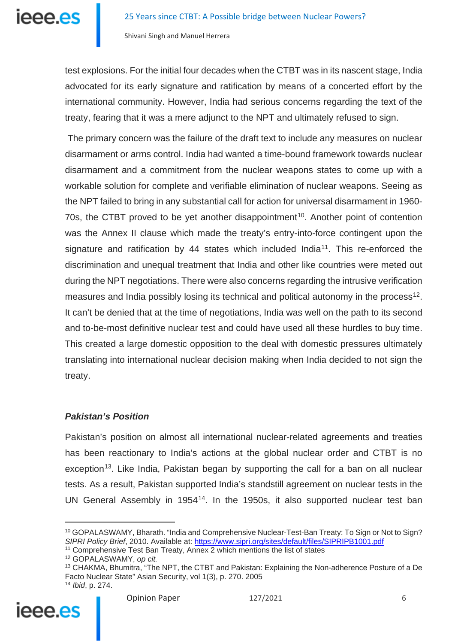

test explosions. For the initial four decades when the CTBT was in its nascent stage, India advocated for its early signature and ratification by means of a concerted effort by the international community. However, India had serious concerns regarding the text of the treaty, fearing that it was a mere adjunct to the NPT and ultimately refused to sign.

The primary concern was the failure of the draft text to include any measures on nuclear disarmament or arms control. India had wanted a time-bound framework towards nuclear disarmament and a commitment from the nuclear weapons states to come up with a workable solution for complete and verifiable elimination of nuclear weapons. Seeing as the NPT failed to bring in any substantial call for action for universal disarmament in 1960- 70s, the CTBT proved to be yet another disappointment<sup>[10](#page-5-0)</sup>. Another point of contention was the Annex II clause which made the treaty's entry-into-force contingent upon the signature and ratification by 44 states which included India<sup>11</sup>. This re-enforced the discrimination and unequal treatment that India and other like countries were meted out during the NPT negotiations. There were also concerns regarding the intrusive verification measures and India possibly losing its technical and political autonomy in the process<sup>12</sup>. It can't be denied that at the time of negotiations, India was well on the path to its second and to-be-most definitive nuclear test and could have used all these hurdles to buy time. This created a large domestic opposition to the deal with domestic pressures ultimately translating into international nuclear decision making when India decided to not sign the treaty.

## *Pakistan's Position*

Pakistan's position on almost all international nuclear-related agreements and treaties has been reactionary to India's actions at the global nuclear order and CTBT is no exception<sup>13</sup>. Like India, Pakistan began by supporting the call for a ban on all nuclear tests. As a result, Pakistan supported India's standstill agreement on nuclear tests in the UN General Assembly in 1954<sup>[14](#page-5-4)</sup>. In the 1950s, it also supported nuclear test ban

<span id="page-5-4"></span><span id="page-5-3"></span><span id="page-5-2"></span><span id="page-5-1"></span><span id="page-5-0"></span><sup>&</sup>lt;sup>13</sup> CHAKMA, Bhumitra, "The NPT, the CTBT and Pakistan: Explaining the Non-adherence Posture of a De Facto Nuclear State" Asian Security, vol 1(3), p. 270. 2005 <sup>14</sup> *Ibid*, p. 274.



<sup>10</sup> GOPALASWAMY, Bharath. "India and Comprehensive Nuclear-Test-Ban Treaty: To Sign or Not to Sign? *SIPRI Policy Brief*, 2010. Available at: <https://www.sipri.org/sites/default/files/SIPRIPB1001.pdf>

<sup>&</sup>lt;sup>11</sup> Comprehensive Test Ban Treaty, Annex 2 which mentions the list of states

<sup>12</sup> GOPALASWAMY, *op cit.*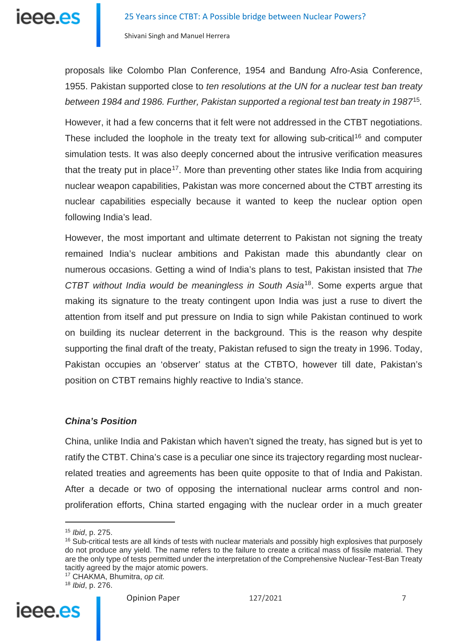

proposals like Colombo Plan Conference, 1954 and Bandung Afro-Asia Conference, 1955. Pakistan supported close to *ten resolutions at the UN for a nuclear test ban treaty between 1984 and 1986. Further, Pakistan supported a regional test ban treaty in 1987*[15](#page-6-0)*.*

However, it had a few concerns that it felt were not addressed in the CTBT negotiations. These included the loophole in the treaty text for allowing sub-critical<sup>[16](#page-6-1)</sup> and computer simulation tests. It was also deeply concerned about the intrusive verification measures that the treaty put in place<sup>[17](#page-6-2)</sup>. More than preventing other states like India from acquiring nuclear weapon capabilities, Pakistan was more concerned about the CTBT arresting its nuclear capabilities especially because it wanted to keep the nuclear option open following India's lead.

However, the most important and ultimate deterrent to Pakistan not signing the treaty remained India's nuclear ambitions and Pakistan made this abundantly clear on numerous occasions. Getting a wind of India's plans to test, Pakistan insisted that *The CTBT without India would be meaningless in South Asia*[18](#page-6-3). Some experts argue that making its signature to the treaty contingent upon India was just a ruse to divert the attention from itself and put pressure on India to sign while Pakistan continued to work on building its nuclear deterrent in the background. This is the reason why despite supporting the final draft of the treaty, Pakistan refused to sign the treaty in 1996. Today, Pakistan occupies an 'observer' status at the CTBTO, however till date, Pakistan's position on CTBT remains highly reactive to India's stance.

#### *China's Position*

China, unlike India and Pakistan which haven't signed the treaty, has signed but is yet to ratify the CTBT. China's case is a peculiar one since its trajectory regarding most nuclearrelated treaties and agreements has been quite opposite to that of India and Pakistan. After a decade or two of opposing the international nuclear arms control and nonproliferation efforts, China started engaging with the nuclear order in a much greater

<span id="page-6-3"></span><span id="page-6-2"></span><span id="page-6-1"></span><span id="page-6-0"></span><sup>18</sup> *Ibid*, p. 276.



<sup>15</sup> *Ibid*, p. 275.

 $16$  Sub-critical tests are all kinds of tests with nuclear materials and possibly high explosives that purposely do not produce any yield. The name refers to the failure to create a critical mass of fissile material. They are the only type of tests permitted under the interpretation of the Comprehensive Nuclear-Test-Ban Treaty tacitly agreed by the major atomic powers.

<sup>17</sup> CHAKMA, Bhumitra, *op cit.*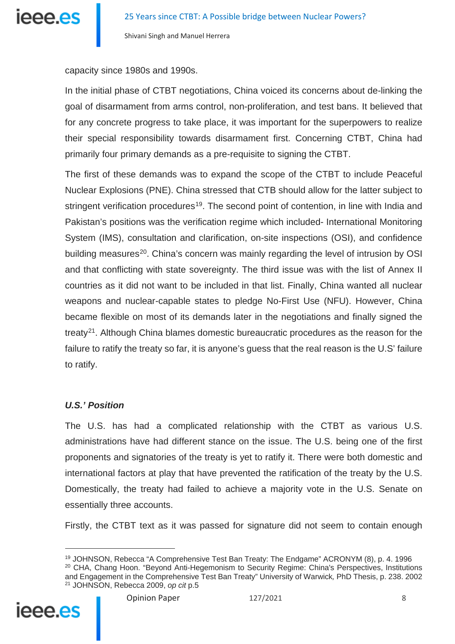

capacity since 1980s and 1990s.

In the initial phase of CTBT negotiations, China voiced its concerns about de-linking the goal of disarmament from arms control, non-proliferation, and test bans. It believed that for any concrete progress to take place, it was important for the superpowers to realize their special responsibility towards disarmament first. Concerning CTBT, China had primarily four primary demands as a pre-requisite to signing the CTBT.

The first of these demands was to expand the scope of the CTBT to include Peaceful Nuclear Explosions (PNE). China stressed that CTB should allow for the latter subject to stringent verification procedures<sup>19</sup>. The second point of contention, in line with India and Pakistan's positions was the verification regime which included- International Monitoring System (IMS), consultation and clarification, on-site inspections (OSI), and confidence building measures<sup>[20](#page-7-1)</sup>. China's concern was mainly regarding the level of intrusion by OSI and that conflicting with state sovereignty. The third issue was with the list of Annex II countries as it did not want to be included in that list. Finally, China wanted all nuclear weapons and nuclear-capable states to pledge No-First Use (NFU). However, China became flexible on most of its demands later in the negotiations and finally signed the treaty<sup>[21](#page-7-2)</sup>. Although China blames domestic bureaucratic procedures as the reason for the failure to ratify the treaty so far, it is anyone's guess that the real reason is the U.S' failure to ratify.

## *U.S.' Position*

The U.S. has had a complicated relationship with the CTBT as various U.S. administrations have had different stance on the issue. The U.S. being one of the first proponents and signatories of the treaty is yet to ratify it. There were both domestic and international factors at play that have prevented the ratification of the treaty by the U.S. Domestically, the treaty had failed to achieve a majority vote in the U.S. Senate on essentially three accounts.

Firstly, the CTBT text as it was passed for signature did not seem to contain enough

<span id="page-7-2"></span><span id="page-7-1"></span><span id="page-7-0"></span><sup>19</sup> JOHNSON, Rebecca "A Comprehensive Test Ban Treaty: The Endgame" ACRONYM (8), p. 4. 1996 <sup>20</sup> CHA, Chang Hoon. "Beyond Anti-Hegemonism to Security Regime: China's Perspectives, Institutions and Engagement in the Comprehensive Test Ban Treaty" University of Warwick*,* PhD Thesis, p. 238. 2002 <sup>21</sup> JOHNSON, Rebecca 2009, *op cit* p.5

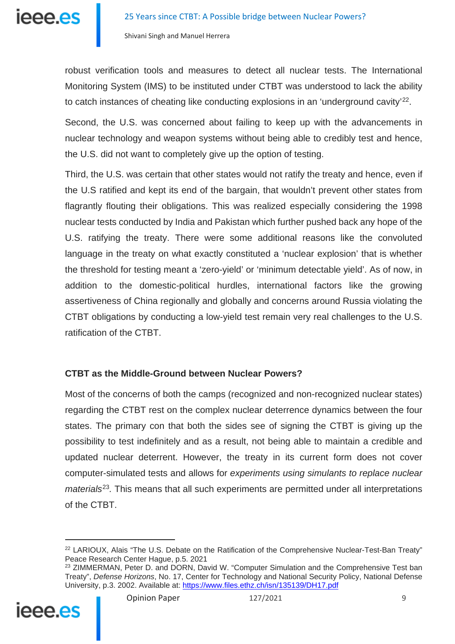

robust verification tools and measures to detect all nuclear tests. The International Monitoring System (IMS) to be instituted under CTBT was understood to lack the ability to catch instances of cheating like conducting explosions in an 'underground cavity'<sup>[22](#page-8-0)</sup>.

Second, the U.S. was concerned about failing to keep up with the advancements in nuclear technology and weapon systems without being able to credibly test and hence, the U.S. did not want to completely give up the option of testing.

Third, the U.S. was certain that other states would not ratify the treaty and hence, even if the U.S ratified and kept its end of the bargain, that wouldn't prevent other states from flagrantly flouting their obligations. This was realized especially considering the 1998 nuclear tests conducted by India and Pakistan which further pushed back any hope of the U.S. ratifying the treaty. There were some additional reasons like the convoluted language in the treaty on what exactly constituted a 'nuclear explosion' that is whether the threshold for testing meant a 'zero-yield' or 'minimum detectable yield'. As of now, in addition to the domestic-political hurdles, international factors like the growing assertiveness of China regionally and globally and concerns around Russia violating the CTBT obligations by conducting a low-yield test remain very real challenges to the U.S. ratification of the CTBT.

## **CTBT as the Middle-Ground between Nuclear Powers?**

Most of the concerns of both the camps (recognized and non-recognized nuclear states) regarding the CTBT rest on the complex nuclear deterrence dynamics between the four states. The primary con that both the sides see of signing the CTBT is giving up the possibility to test indefinitely and as a result, not being able to maintain a credible and updated nuclear deterrent. However, the treaty in its current form does not cover computer-simulated tests and allows for *experiments using simulants to replace nuclear materials*[23](#page-8-1)*.* This means that all such experiments are permitted under all interpretations of the CTBT.

<span id="page-8-1"></span><span id="page-8-0"></span><sup>&</sup>lt;sup>23</sup> ZIMMERMAN, Peter D. and DORN, David W. "Computer Simulation and the Comprehensive Test ban Treaty", *Defense Horizons*, No. 17, Center for Technology and National Security Policy, National Defense University, p.3. 2002. Available at: <https://www.files.ethz.ch/isn/135139/DH17.pdf>



<sup>&</sup>lt;sup>22</sup> LARIOUX, Alais "The U.S. Debate on the Ratification of the Comprehensive Nuclear-Test-Ban Treaty" Peace Research Center Hague, p.5. 2021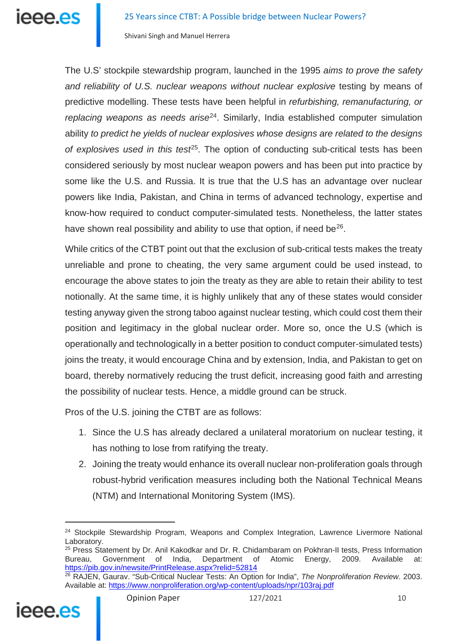The U.S' stockpile stewardship program, launched in the 1995 *aims to prove the safety*  and reliability of U.S. nuclear weapons without nuclear explosive testing by means of predictive modelling. These tests have been helpful in *refurbishing, remanufacturing, or replacing weapons as needs arise*[24.](#page-9-0) Similarly, India established computer simulation ability *to predict he yields of nuclear explosives whose designs are related to the designs of explosives used in this test*[25](#page-9-1). The option of conducting sub-critical tests has been considered seriously by most nuclear weapon powers and has been put into practice by some like the U.S. and Russia. It is true that the U.S has an advantage over nuclear powers like India, Pakistan, and China in terms of advanced technology, expertise and know-how required to conduct computer-simulated tests. Nonetheless, the latter states have shown real possibility and ability to use that option, if need be $^{26}$  $^{26}$  $^{26}$ .

While critics of the CTBT point out that the exclusion of sub-critical tests makes the treaty unreliable and prone to cheating, the very same argument could be used instead, to encourage the above states to join the treaty as they are able to retain their ability to test notionally. At the same time, it is highly unlikely that any of these states would consider testing anyway given the strong taboo against nuclear testing, which could cost them their position and legitimacy in the global nuclear order. More so, once the U.S (which is operationally and technologically in a better position to conduct computer-simulated tests) joins the treaty, it would encourage China and by extension, India, and Pakistan to get on board, thereby normatively reducing the trust deficit, increasing good faith and arresting the possibility of nuclear tests. Hence, a middle ground can be struck.

Pros of the U.S. joining the CTBT are as follows:

- 1. Since the U.S has already declared a unilateral moratorium on nuclear testing, it has nothing to lose from ratifying the treaty.
- 2. Joining the treaty would enhance its overall nuclear non-proliferation goals through robust-hybrid verification measures including both the National Technical Means (NTM) and International Monitoring System (IMS).

<span id="page-9-2"></span><span id="page-9-1"></span><span id="page-9-0"></span><sup>26</sup> RAJEN, Gaurav. "Sub-Critical Nuclear Tests: An Option for India", *The Nonproliferation Review*. 2003. Available at: <https://www.nonproliferation.org/wp-content/uploads/npr/103raj.pdf>



<sup>&</sup>lt;sup>24</sup> Stockpile Stewardship Program, Weapons and Complex Integration, Lawrence Livermore National Laboratory.

<sup>&</sup>lt;sup>25</sup> Press Statement by Dr. Anil Kakodkar and Dr. R. Chidambaram on Pokhran-II tests, Press Information<br>Bureau. Government of India. Department of Atomic Energy. 2009. Available at: Department of Atomic Energy, 2009. Available at: <https://pib.gov.in/newsite/PrintRelease.aspx?relid=52814>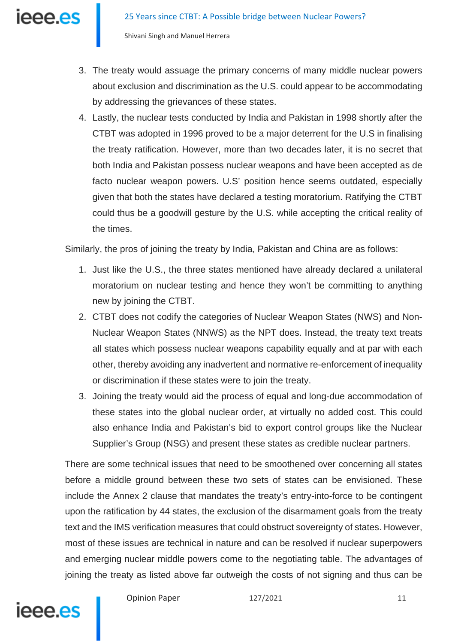- 3. The treaty would assuage the primary concerns of many middle nuclear powers about exclusion and discrimination as the U.S. could appear to be accommodating by addressing the grievances of these states.
- 4. Lastly, the nuclear tests conducted by India and Pakistan in 1998 shortly after the CTBT was adopted in 1996 proved to be a major deterrent for the U.S in finalising the treaty ratification. However, more than two decades later, it is no secret that both India and Pakistan possess nuclear weapons and have been accepted as de facto nuclear weapon powers. U.S' position hence seems outdated, especially given that both the states have declared a testing moratorium. Ratifying the CTBT could thus be a goodwill gesture by the U.S. while accepting the critical reality of the times.

Similarly, the pros of joining the treaty by India, Pakistan and China are as follows:

- 1. Just like the U.S., the three states mentioned have already declared a unilateral moratorium on nuclear testing and hence they won't be committing to anything new by joining the CTBT.
- 2. CTBT does not codify the categories of Nuclear Weapon States (NWS) and Non-Nuclear Weapon States (NNWS) as the NPT does. Instead, the treaty text treats all states which possess nuclear weapons capability equally and at par with each other, thereby avoiding any inadvertent and normative re-enforcement of inequality or discrimination if these states were to join the treaty.
- 3. Joining the treaty would aid the process of equal and long-due accommodation of these states into the global nuclear order, at virtually no added cost. This could also enhance India and Pakistan's bid to export control groups like the Nuclear Supplier's Group (NSG) and present these states as credible nuclear partners.

There are some technical issues that need to be smoothened over concerning all states before a middle ground between these two sets of states can be envisioned. These include the Annex 2 clause that mandates the treaty's entry-into-force to be contingent upon the ratification by 44 states, the exclusion of the disarmament goals from the treaty text and the IMS verification measures that could obstruct sovereignty of states. However, most of these issues are technical in nature and can be resolved if nuclear superpowers and emerging nuclear middle powers come to the negotiating table. The advantages of joining the treaty as listed above far outweigh the costs of not signing and thus can be



Opinion Paper 127/2021 11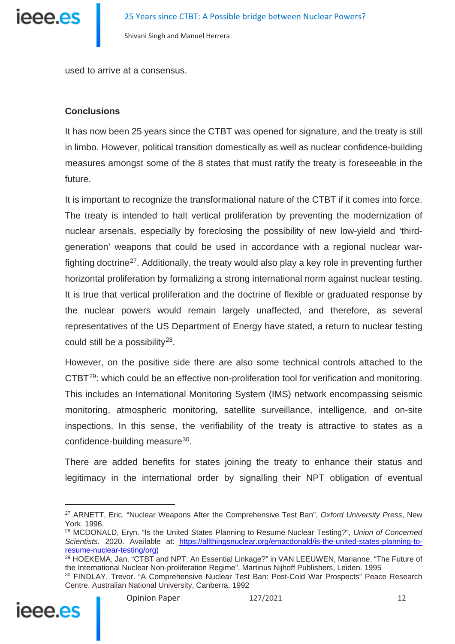

used to arrive at a consensus.

#### **Conclusions**

It has now been 25 years since the CTBT was opened for signature, and the treaty is still in limbo. However, political transition domestically as well as nuclear confidence-building measures amongst some of the 8 states that must ratify the treaty is foreseeable in the future.

It is important to recognize the transformational nature of the CTBT if it comes into force. The treaty is intended to halt vertical proliferation by preventing the modernization of nuclear arsenals, especially by foreclosing the possibility of new low-yield and 'thirdgeneration' weapons that could be used in accordance with a regional nuclear war-fighting doctrine<sup>[27](#page-11-0)</sup>. Additionally, the treaty would also play a key role in preventing further horizontal proliferation by formalizing a strong international norm against nuclear testing. It is true that vertical proliferation and the doctrine of flexible or graduated response by the nuclear powers would remain largely unaffected, and therefore, as several representatives of the US Department of Energy have stated, a return to nuclear testing could still be a possibility<sup>28</sup>.

However, on the positive side there are also some technical controls attached to the CTBT[29:](#page-11-2) which could be an effective non-proliferation tool for verification and monitoring. This includes an International Monitoring System (IMS) network encompassing seismic monitoring, atmospheric monitoring, satellite surveillance, intelligence, and on-site inspections. In this sense, the verifiability of the treaty is attractive to states as a confidence-building measure<sup>30</sup>.

There are added benefits for states joining the treaty to enhance their status and legitimacy in the international order by signalling their NPT obligation of eventual

<span id="page-11-3"></span><span id="page-11-2"></span><span id="page-11-1"></span><span id="page-11-0"></span><sup>30</sup> FINDLAY, Trevor. "A Comprehensive Nuclear Test Ban: Post-Cold War Prospects" Peace Research Centre, Australian National University, Canberra. 1992



<sup>27</sup> ARNETT, Eric. "Nuclear Weapons After the Comprehensive Test Ban", *Oxford University Press*, New York. 1996.

<sup>28</sup> MCDONALD, Eryn. "Is the United States Planning to Resume Nuclear Testing?", *Union of Concerned Scientists*. 2020. Available at: [https://allthingsnuclear.org/emacdonald/is-the-united-states-planning-to](https://allthingsnuclear.org/emacdonald/is-the-united-states-planning-to-resume-nuclear-testing/org))[resume-nuclear-testing/org\)](https://allthingsnuclear.org/emacdonald/is-the-united-states-planning-to-resume-nuclear-testing/org))

<sup>&</sup>lt;sup>29</sup> HOEKEMA, Jan. "CTBT and NPT: An Essential Linkage?" in VAN LEEUWEN, Marianne. "The Future of the International Nuclear Non-proliferation Regime", Martinus Nijhoff Publishers, Leiden. 1995